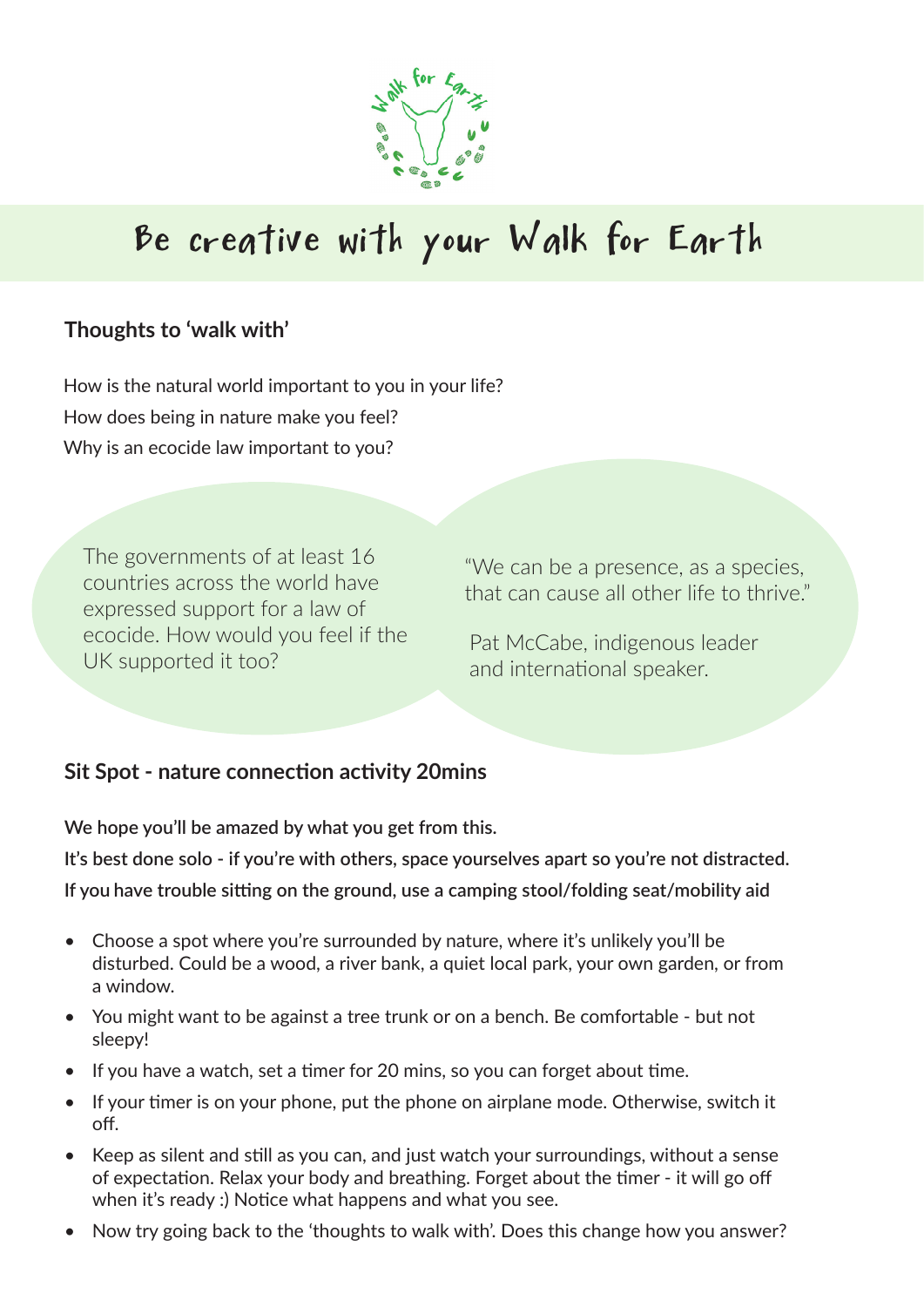

# Be creative with your Walk for Earth

### **Thoughts to 'walk with'**

How is the natural world important to you in your life? How does being in nature make you feel? Why is an ecocide law important to you?

The governments of at least 16 countries across the world have expressed support for a law of ecocide. How would you feel if the ecociae. How would you feel if the end in McCabe, indigenous leader<br>UK supported it too?

"We can be a presence, as a species, that can cause all other life to thrive."

and international speaker.

### **Sit Spot - nature connection activity 20mins**

**We hope you'll be amazed by what you get from this.** 

**It's best done solo - if you're with others, space yourselves apart so you're not distracted.**  If you have trouble sitting on the ground, use a camping stool/folding seat/mobility aid

- Choose a spot where you're surrounded by nature, where it's unlikely you'll be disturbed. Could be a wood, a river bank, a quiet local park, your own garden, or from a window.
- You might want to be against a tree trunk or on a bench. Be comfortable but not sleepy!
- If you have a watch, set a timer for 20 mins, so you can forget about time.
- $\bullet$  If your timer is on your phone, put the phone on airplane mode. Otherwise, switch it off.
- Keep as silent and still as you can, and just watch your surroundings, without a sense of expectation. Relax your body and breathing. Forget about the timer - it will go off when it's ready :) Notice what happens and what you see.
- Now try going back to the 'thoughts to walk with'. Does this change how you answer?